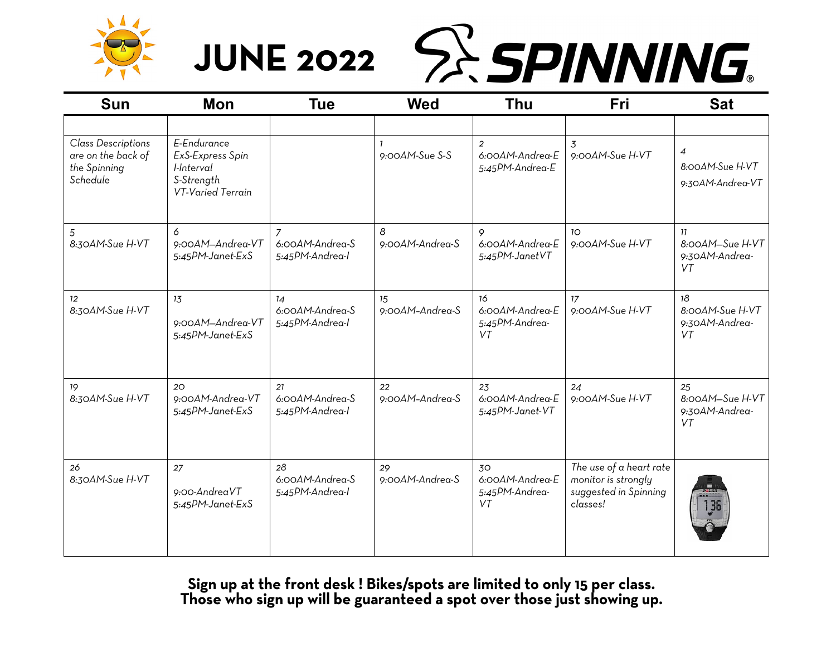



| <b>Sun</b>                                                                  | <b>Mon</b>                                                                       | Tue                                                 | <b>Wed</b>            | <b>Thu</b>                                           | Fri                                                                                 | <b>Sat</b>                                            |
|-----------------------------------------------------------------------------|----------------------------------------------------------------------------------|-----------------------------------------------------|-----------------------|------------------------------------------------------|-------------------------------------------------------------------------------------|-------------------------------------------------------|
|                                                                             |                                                                                  |                                                     |                       |                                                      |                                                                                     |                                                       |
| <b>Class Descriptions</b><br>are on the back of<br>the Spinning<br>Schedule | E-Endurance<br>ExS-Express Spin<br>I-Interval<br>S-Strength<br>VT-Varied Terrain |                                                     | 9:00AM-Sue S-S        | $\overline{2}$<br>6:00AM-Andrea-E<br>5:45PM-Andrea-E | 3<br>9:00AM-Sue H-VT                                                                | $\overline{4}$<br>8:00AM-Sue H-VT<br>9:30AM-Andrea-VT |
| 5<br>8:30AM-Sue H-VT                                                        | 6<br>9:00AM-Andrea-VT<br>5:45PM-Janet-ExS                                        | $\mathcal{I}$<br>6:00AM-Andrea-S<br>5:45PM-Andrea-I | 8<br>9:00AM-Andrea-S  | 9<br>6:00AM-Andrea-E<br>5:45PM-JanetVT               | 10 <sup>2</sup><br>9:00AM-Sue H-VT                                                  | 11<br>8:00AM-Sue H-VT<br>9:30AM-Andrea-<br>VT         |
| 12 <sup>°</sup><br>8:30AM-Sue H-VT                                          | 13<br>9:00AM-Andrea-VT<br>5:45PM-Janet-ExS                                       | 14<br>6:00AM-Andrea-S<br>5:45PM-Andrea-I            | 15<br>9:00AM-Andrea-S | 16<br>6:00AM-Andrea-E<br>5:45PM-Andrea-<br>VT        | 17<br>9:00AM-Sue H-VT                                                               | 18<br>8:00AM-Sue H-VT<br>9:30AM-Andrea-<br>VT         |
| 19<br>8:30AM-Sue H-VT                                                       | 20<br>9:00AM-Andrea-VT<br>5:45PM-Janet-ExS                                       | 21<br>6:00AM-Andrea-S<br>5:45PM-Andrea-I            | 22<br>9:00AM-Andrea-S | 23<br>6:00AM-Andrea-E<br>5:45PM-Janet-VT             | 24<br>9:00AM-Sue H-VT                                                               | 25<br>8:00AM-Sue H-VT<br>9:30AM-Andrea-<br>VT         |
| 26<br>8:30AM-Sue H-VT                                                       | 27<br>9:00-AndreaVT<br>5:45PM-Janet-ExS                                          | 28<br>6:00AM-Andrea-S<br>5:45PM-Andrea-I            | 29<br>9:00AM-Andrea-S | 30<br>6:00AM-Andrea-E<br>5:45PM-Andrea-<br>VT        | The use of a heart rate<br>monitor is strongly<br>suggested in Spinning<br>classes! | 136                                                   |

Sign up at the front desk! Bikes/spots are limited to only 15 per class. Those who sign up will be guaranteed a spot over those just showing up.